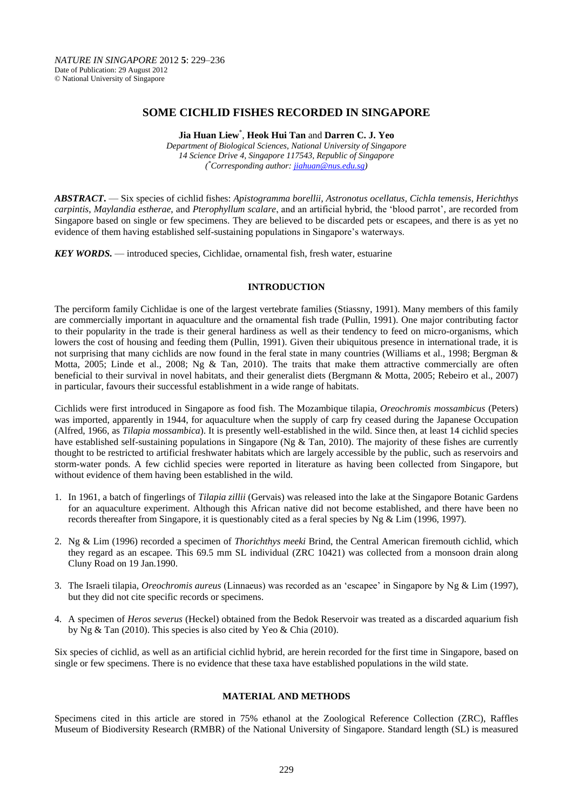# **SOME CICHLID FISHES RECORDED IN SINGAPORE**

**Jia Huan Liew**\* , **Heok Hui Tan** and **Darren C. J. Yeo**

*Department of Biological Sciences, National University of Singapore 14 Science Drive 4, Singapore 117543, Republic of Singapore ( \*Corresponding author[: jiahuan@nus.edu.sg\)](jiahuan@nus.edu.sg)*

*ABSTRACT***.** — Six species of cichlid fishes: *Apistogramma borellii, Astronotus ocellatus, Cichla temensis*, *Herichthys carpintis*, *Maylandia estherae*, and *Pterophyllum scalare*, and an artificial hybrid, the 'blood parrot', are recorded from Singapore based on single or few specimens. They are believed to be discarded pets or escapees, and there is as yet no evidence of them having established self-sustaining populations in Singapore's waterways.

*KEY WORDS.* — introduced species, Cichlidae, ornamental fish, fresh water, estuarine

### **INTRODUCTION**

The perciform family Cichlidae is one of the largest vertebrate families (Stiassny, 1991). Many members of this family are commercially important in aquaculture and the ornamental fish trade (Pullin, 1991). One major contributing factor to their popularity in the trade is their general hardiness as well as their tendency to feed on micro-organisms, which lowers the cost of housing and feeding them (Pullin, 1991). Given their ubiquitous presence in international trade, it is not surprising that many cichlids are now found in the feral state in many countries (Williams et al., 1998; Bergman & Motta, 2005; Linde et al., 2008; Ng & Tan, 2010). The traits that make them attractive commercially are often beneficial to their survival in novel habitats, and their generalist diets (Bergmann & Motta, 2005; Rebeiro et al., 2007) in particular, favours their successful establishment in a wide range of habitats.

Cichlids were first introduced in Singapore as food fish. The Mozambique tilapia, *Oreochromis mossambicus* (Peters) was imported, apparently in 1944, for aquaculture when the supply of carp fry ceased during the Japanese Occupation (Alfred, 1966, as *Tilapia mossambica*). It is presently well-established in the wild. Since then, at least 14 cichlid species have established self-sustaining populations in Singapore (Ng & Tan, 2010). The majority of these fishes are currently thought to be restricted to artificial freshwater habitats which are largely accessible by the public, such as reservoirs and storm-water ponds. A few cichlid species were reported in literature as having been collected from Singapore, but without evidence of them having been established in the wild.

- 1. In 1961, a batch of fingerlings of *Tilapia zillii* (Gervais) was released into the lake at the Singapore Botanic Gardens for an aquaculture experiment. Although this African native did not become established, and there have been no records thereafter from Singapore, it is questionably cited as a feral species by Ng & Lim (1996, 1997).
- 2. Ng & Lim (1996) recorded a specimen of *Thorichthys meeki* Brind, the Central American firemouth cichlid, which they regard as an escapee. This 69.5 mm SL individual (ZRC 10421) was collected from a monsoon drain along Cluny Road on 19 Jan.1990.
- 3. The Israeli tilapia, *Oreochromis aureus* (Linnaeus) was recorded as an 'escapee' in Singapore by Ng & Lim (1997), but they did not cite specific records or specimens.
- 4. A specimen of *Heros severus* (Heckel) obtained from the Bedok Reservoir was treated as a discarded aquarium fish by Ng & Tan (2010). This species is also cited by Yeo & Chia (2010).

Six species of cichlid, as well as an artificial cichlid hybrid, are herein recorded for the first time in Singapore, based on single or few specimens. There is no evidence that these taxa have established populations in the wild state.

#### **MATERIAL AND METHODS**

Specimens cited in this article are stored in 75% ethanol at the Zoological Reference Collection (ZRC), Raffles Museum of Biodiversity Research (RMBR) of the National University of Singapore. Standard length (SL) is measured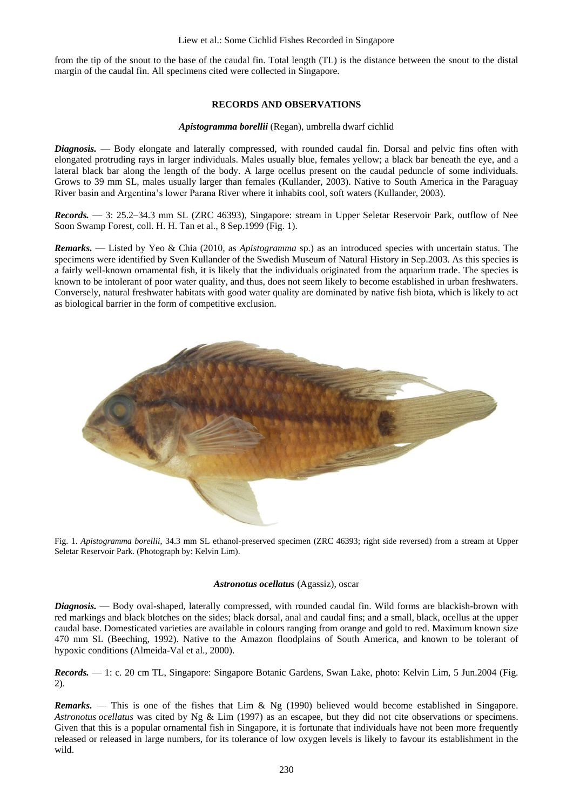#### Liew et al.: Some Cichlid Fishes Recorded in Singapore

from the tip of the snout to the base of the caudal fin. Total length (TL) is the distance between the snout to the distal margin of the caudal fin. All specimens cited were collected in Singapore.

### **RECORDS AND OBSERVATIONS**

#### *Apistogramma borellii* (Regan), umbrella dwarf cichlid

*Diagnosis.* — Body elongate and laterally compressed, with rounded caudal fin. Dorsal and pelvic fins often with elongated protruding rays in larger individuals. Males usually blue, females yellow; a black bar beneath the eye, and a lateral black bar along the length of the body. A large ocellus present on the caudal peduncle of some individuals. Grows to 39 mm SL, males usually larger than females (Kullander, 2003). Native to South America in the Paraguay River basin and Argentina's lower Parana River where it inhabits cool, soft waters (Kullander, 2003).

*Records.* — 3: 25.2–34.3 mm SL (ZRC 46393), Singapore: stream in Upper Seletar Reservoir Park, outflow of Nee Soon Swamp Forest, coll. H. H. Tan et al., 8 Sep.1999 (Fig. 1).

*Remarks.* — Listed by Yeo & Chia (2010, as *Apistogramma* sp.) as an introduced species with uncertain status. The specimens were identified by Sven Kullander of the Swedish Museum of Natural History in Sep.2003. As this species is a fairly well-known ornamental fish, it is likely that the individuals originated from the aquarium trade. The species is known to be intolerant of poor water quality, and thus, does not seem likely to become established in urban freshwaters. Conversely, natural freshwater habitats with good water quality are dominated by native fish biota, which is likely to act as biological barrier in the form of competitive exclusion.



Fig. 1. *Apistogramma borellii*, 34.3 mm SL ethanol-preserved specimen (ZRC 46393; right side reversed) from a stream at Upper Seletar Reservoir Park. (Photograph by: Kelvin Lim).

# *Astronotus ocellatus* (Agassiz), oscar

*Diagnosis.* — Body oval-shaped, laterally compressed, with rounded caudal fin. Wild forms are blackish-brown with red markings and black blotches on the sides; black dorsal, anal and caudal fins; and a small, black, ocellus at the upper caudal base. Domesticated varieties are available in colours ranging from orange and gold to red. Maximum known size 470 mm SL (Beeching, 1992). Native to the Amazon floodplains of South America, and known to be tolerant of hypoxic conditions (Almeida-Val et al., 2000).

*Records.* — 1: c. 20 cm TL, Singapore: Singapore Botanic Gardens, Swan Lake, photo: Kelvin Lim, 5 Jun.2004 (Fig. 2).

*Remarks.* — This is one of the fishes that Lim & Ng (1990) believed would become established in Singapore. *Astronotus ocellatus* was cited by Ng & Lim (1997) as an escapee, but they did not cite observations or specimens. Given that this is a popular ornamental fish in Singapore, it is fortunate that individuals have not been more frequently released or released in large numbers, for its tolerance of low oxygen levels is likely to favour its establishment in the wild.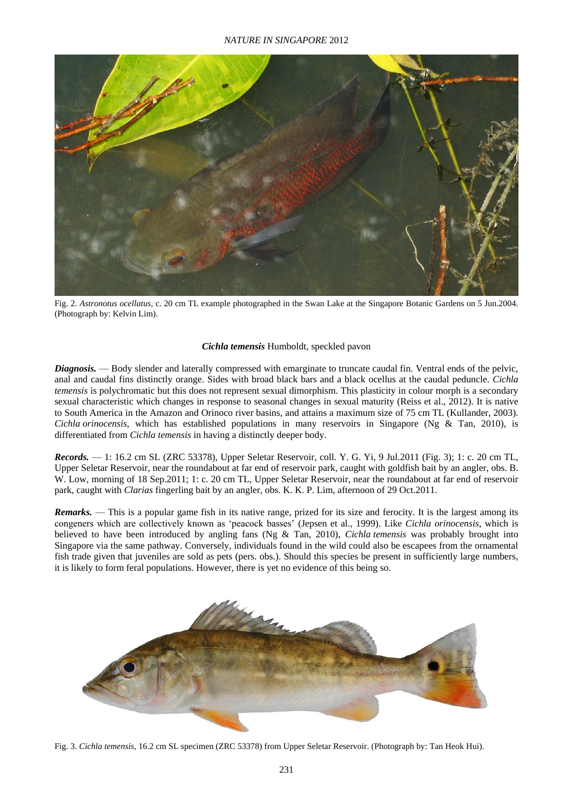

Fig. 2. *Astronotus ocellatus*, c. 20 cm TL example photographed in the Swan Lake at the Singapore Botanic Gardens on 5 Jun.2004. (Photograph by: Kelvin Lim).

### *Cichla temensis* Humboldt, speckled pavon

*Diagnosis.* — Body slender and laterally compressed with emarginate to truncate caudal fin. Ventral ends of the pelvic, anal and caudal fins distinctly orange. Sides with broad black bars and a black ocellus at the caudal peduncle. *Cichla temensis* is polychromatic but this does not represent sexual dimorphism. This plasticity in colour morph is a secondary sexual characteristic which changes in response to seasonal changes in sexual maturity (Reiss et al., 2012). It is native to South America in the Amazon and Orinoco river basins, and attains a maximum size of 75 cm TL (Kullander, 2003). *Cichla orinocensis*, which has established populations in many reservoirs in Singapore (Ng & Tan, 2010), is differentiated from *Cichla temensis* in having a distinctly deeper body.

*Records.* — 1: 16.2 cm SL (ZRC 53378), Upper Seletar Reservoir, coll. Y. G. Yi, 9 Jul.2011 (Fig. 3); 1: c. 20 cm TL, Upper Seletar Reservoir, near the roundabout at far end of reservoir park, caught with goldfish bait by an angler, obs. B. W. Low, morning of 18 Sep.2011; 1: c. 20 cm TL, Upper Seletar Reservoir, near the roundabout at far end of reservoir park, caught with *Clarias* fingerling bait by an angler, obs. K. K. P. Lim, afternoon of 29 Oct.2011.

*Remarks.* — This is a popular game fish in its native range, prized for its size and ferocity. It is the largest among its congeners which are collectively known as 'peacock basses' (Jepsen et al., 1999). Like *Cichla orinocensis*, which is believed to have been introduced by angling fans (Ng & Tan, 2010), *Cichla temensis* was probably brought into Singapore via the same pathway. Conversely, individuals found in the wild could also be escapees from the ornamental fish trade given that juveniles are sold as pets (pers. obs.). Should this species be present in sufficiently large numbers, it is likely to form feral populations. However, there is yet no evidence of this being so.



Fig. 3. *Cichla temensis*, 16.2 cm SL specimen (ZRC 53378) from Upper Seletar Reservoir. (Photograph by: Tan Heok Hui).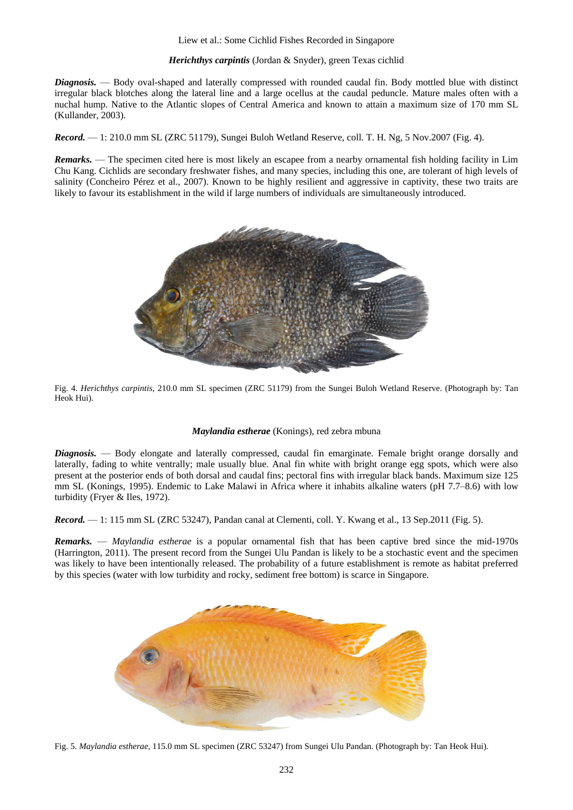### Liew et al.: Some Cichlid Fishes Recorded in Singapore

### *Herichthys carpintis* (Jordan & Snyder), green Texas cichlid

*Diagnosis.* — Body oval-shaped and laterally compressed with rounded caudal fin. Body mottled blue with distinct irregular black blotches along the lateral line and a large ocellus at the caudal peduncle. Mature males often with a nuchal hump. Native to the Atlantic slopes of Central America and known to attain a maximum size of 170 mm SL (Kullander, 2003).

*Record.* — 1: 210.0 mm SL (ZRC 51179), Sungei Buloh Wetland Reserve, coll. T. H. Ng, 5 Nov.2007 (Fig. 4).

*Remarks.* — The specimen cited here is most likely an escapee from a nearby ornamental fish holding facility in Lim Chu Kang. Cichlids are secondary freshwater fishes, and many species, including this one, are tolerant of high levels of salinity (Concheiro Pérez et al., 2007). Known to be highly resilient and aggressive in captivity, these two traits are likely to favour its establishment in the wild if large numbers of individuals are simultaneously introduced.



Fig. 4. *Herichthys carpintis*, 210.0 mm SL specimen (ZRC 51179) from the Sungei Buloh Wetland Reserve. (Photograph by: Tan Heok Hui).

#### *Maylandia estherae* (Konings), red zebra mbuna

*Diagnosis.* — Body elongate and laterally compressed, caudal fin emarginate. Female bright orange dorsally and laterally, fading to white ventrally; male usually blue. Anal fin white with bright orange egg spots, which were also present at the posterior ends of both dorsal and caudal fins; pectoral fins with irregular black bands. Maximum size 125 mm SL (Konings, 1995). Endemic to Lake Malawi in Africa where it inhabits alkaline waters (pH 7.7–8.6) with low turbidity (Fryer & Iles, 1972).

*Record.* — 1: 115 mm SL (ZRC 53247), Pandan canal at Clementi, coll. Y. Kwang et al., 13 Sep.2011 (Fig. 5).

*Remarks.* — *Maylandia estherae* is a popular ornamental fish that has been captive bred since the mid-1970s (Harrington, 2011). The present record from the Sungei Ulu Pandan is likely to be a stochastic event and the specimen was likely to have been intentionally released. The probability of a future establishment is remote as habitat preferred by this species (water with low turbidity and rocky, sediment free bottom) is scarce in Singapore.



Fig. 5. *Maylandia estherae*, 115.0 mm SL specimen (ZRC 53247) from Sungei Ulu Pandan. (Photograph by: Tan Heok Hui).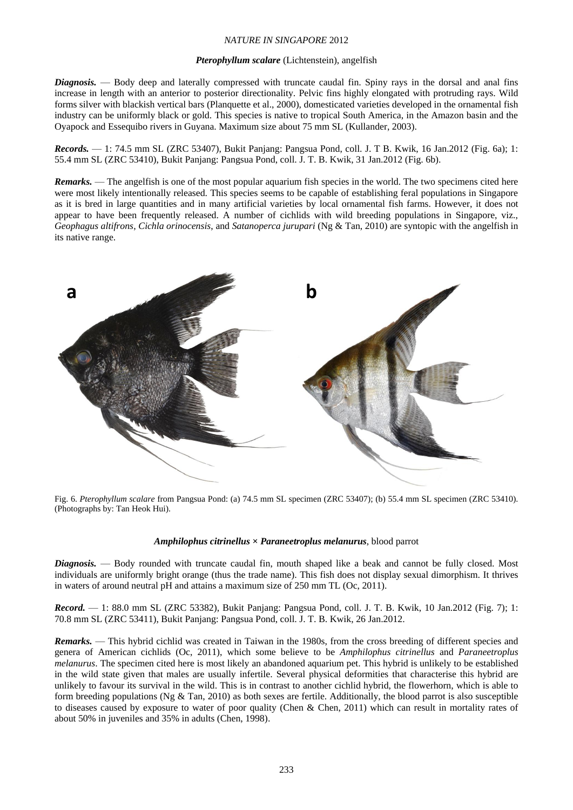# *NATURE IN SINGAPORE* 2012

#### *Pterophyllum scalare* (Lichtenstein), angelfish

*Diagnosis.* — Body deep and laterally compressed with truncate caudal fin. Spiny rays in the dorsal and anal fins increase in length with an anterior to posterior directionality. Pelvic fins highly elongated with protruding rays. Wild forms silver with blackish vertical bars (Planquette et al., 2000), domesticated varieties developed in the ornamental fish industry can be uniformly black or gold. This species is native to tropical South America, in the Amazon basin and the Oyapock and Essequibo rivers in Guyana. Maximum size about 75 mm SL (Kullander, 2003).

*Records.* — 1: 74.5 mm SL (ZRC 53407), Bukit Panjang: Pangsua Pond, coll. J. T B. Kwik, 16 Jan.2012 (Fig. 6a); 1: 55.4 mm SL (ZRC 53410), Bukit Panjang: Pangsua Pond, coll. J. T. B. Kwik, 31 Jan.2012 (Fig. 6b).

*Remarks.* — The angelfish is one of the most popular aquarium fish species in the world. The two specimens cited here were most likely intentionally released. This species seems to be capable of establishing feral populations in Singapore as it is bred in large quantities and in many artificial varieties by local ornamental fish farms. However, it does not appear to have been frequently released. A number of cichlids with wild breeding populations in Singapore, viz., *Geophagus altifrons*, *Cichla orinocensis*, and *Satanoperca jurupari* (Ng & Tan, 2010) are syntopic with the angelfish in its native range.



Fig. 6. *Pterophyllum scalare* from Pangsua Pond: (a) 74.5 mm SL specimen (ZRC 53407); (b) 55.4 mm SL specimen (ZRC 53410). (Photographs by: Tan Heok Hui).

#### *Amphilophus citrinellus* **×** *Paraneetroplus melanurus*, blood parrot

*Diagnosis.* — Body rounded with truncate caudal fin, mouth shaped like a beak and cannot be fully closed. Most individuals are uniformly bright orange (thus the trade name). This fish does not display sexual dimorphism. It thrives in waters of around neutral pH and attains a maximum size of 250 mm TL (Oc, 2011).

*Record.* — 1: 88.0 mm SL (ZRC 53382), Bukit Panjang: Pangsua Pond, coll. J. T. B. Kwik, 10 Jan.2012 (Fig. 7); 1: 70.8 mm SL (ZRC 53411), Bukit Panjang: Pangsua Pond, coll. J. T. B. Kwik, 26 Jan.2012.

*Remarks.* — This hybrid cichlid was created in Taiwan in the 1980s, from the cross breeding of different species and genera of American cichlids (Oc, 2011), which some believe to be *Amphilophus citrinellus* and *Paraneetroplus melanurus*. The specimen cited here is most likely an abandoned aquarium pet. This hybrid is unlikely to be established in the wild state given that males are usually infertile. Several physical deformities that characterise this hybrid are unlikely to favour its survival in the wild. This is in contrast to another cichlid hybrid, the flowerhorn, which is able to form breeding populations (Ng  $\&$  Tan, 2010) as both sexes are fertile. Additionally, the blood parrot is also susceptible to diseases caused by exposure to water of poor quality (Chen & Chen, 2011) which can result in mortality rates of about 50% in juveniles and 35% in adults (Chen, 1998).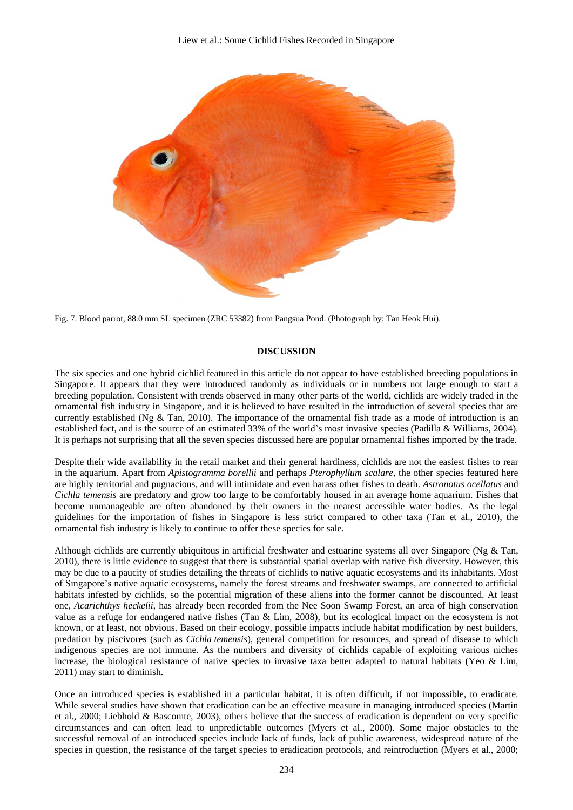

Fig. 7. Blood parrot, 88.0 mm SL specimen (ZRC 53382) from Pangsua Pond. (Photograph by: Tan Heok Hui).

# **DISCUSSION**

The six species and one hybrid cichlid featured in this article do not appear to have established breeding populations in Singapore. It appears that they were introduced randomly as individuals or in numbers not large enough to start a breeding population. Consistent with trends observed in many other parts of the world, cichlids are widely traded in the ornamental fish industry in Singapore, and it is believed to have resulted in the introduction of several species that are currently established (Ng & Tan, 2010). The importance of the ornamental fish trade as a mode of introduction is an established fact, and is the source of an estimated 33% of the world's most invasive species (Padilla & Williams, 2004). It is perhaps not surprising that all the seven species discussed here are popular ornamental fishes imported by the trade.

Despite their wide availability in the retail market and their general hardiness, cichlids are not the easiest fishes to rear in the aquarium. Apart from *Apistogramma borellii* and perhaps *Pterophyllum scalare*, the other species featured here are highly territorial and pugnacious, and will intimidate and even harass other fishes to death. *Astronotus ocellatus* and *Cichla temensis* are predatory and grow too large to be comfortably housed in an average home aquarium. Fishes that become unmanageable are often abandoned by their owners in the nearest accessible water bodies. As the legal guidelines for the importation of fishes in Singapore is less strict compared to other taxa (Tan et al., 2010), the ornamental fish industry is likely to continue to offer these species for sale.

Although cichlids are currently ubiquitous in artificial freshwater and estuarine systems all over Singapore (Ng & Tan, 2010), there is little evidence to suggest that there is substantial spatial overlap with native fish diversity. However, this may be due to a paucity of studies detailing the threats of cichlids to native aquatic ecosystems and its inhabitants. Most of Singapore's native aquatic ecosystems, namely the forest streams and freshwater swamps, are connected to artificial habitats infested by cichlids, so the potential migration of these aliens into the former cannot be discounted. At least one, *Acarichthys heckelii*, has already been recorded from the Nee Soon Swamp Forest, an area of high conservation value as a refuge for endangered native fishes (Tan & Lim, 2008), but its ecological impact on the ecosystem is not known, or at least, not obvious. Based on their ecology, possible impacts include habitat modification by nest builders, predation by piscivores (such as *Cichla temensis*), general competition for resources, and spread of disease to which indigenous species are not immune. As the numbers and diversity of cichlids capable of exploiting various niches increase, the biological resistance of native species to invasive taxa better adapted to natural habitats (Yeo & Lim, 2011) may start to diminish.

Once an introduced species is established in a particular habitat, it is often difficult, if not impossible, to eradicate. While several studies have shown that eradication can be an effective measure in managing introduced species (Martin et al., 2000; Liebhold & Bascomte, 2003), others believe that the success of eradication is dependent on very specific circumstances and can often lead to unpredictable outcomes (Myers et al., 2000). Some major obstacles to the successful removal of an introduced species include lack of funds, lack of public awareness, widespread nature of the species in question, the resistance of the target species to eradication protocols, and reintroduction (Myers et al., 2000;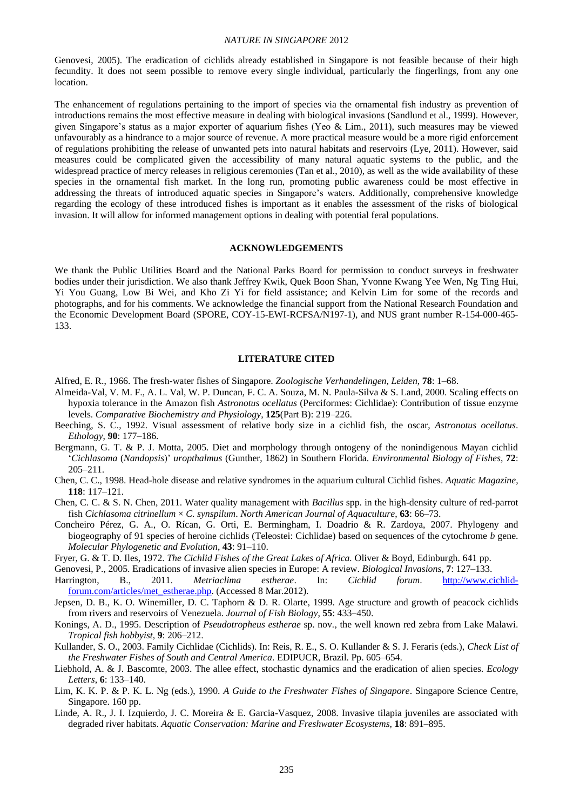#### *NATURE IN SINGAPORE* 2012

Genovesi, 2005). The eradication of cichlids already established in Singapore is not feasible because of their high fecundity. It does not seem possible to remove every single individual, particularly the fingerlings, from any one location.

The enhancement of regulations pertaining to the import of species via the ornamental fish industry as prevention of introductions remains the most effective measure in dealing with biological invasions (Sandlund et al., 1999). However, given Singapore's status as a major exporter of aquarium fishes (Yeo & Lim., 2011), such measures may be viewed unfavourably as a hindrance to a major source of revenue. A more practical measure would be a more rigid enforcement of regulations prohibiting the release of unwanted pets into natural habitats and reservoirs (Lye, 2011). However, said measures could be complicated given the accessibility of many natural aquatic systems to the public, and the widespread practice of mercy releases in religious ceremonies (Tan et al., 2010), as well as the wide availability of these species in the ornamental fish market. In the long run, promoting public awareness could be most effective in addressing the threats of introduced aquatic species in Singapore's waters. Additionally, comprehensive knowledge regarding the ecology of these introduced fishes is important as it enables the assessment of the risks of biological invasion. It will allow for informed management options in dealing with potential feral populations.

### **ACKNOWLEDGEMENTS**

We thank the Public Utilities Board and the National Parks Board for permission to conduct surveys in freshwater bodies under their jurisdiction. We also thank Jeffrey Kwik, Quek Boon Shan, Yvonne Kwang Yee Wen, Ng Ting Hui, Yi You Guang, Low Bi Wei, and Kho Zi Yi for field assistance; and Kelvin Lim for some of the records and photographs, and for his comments. We acknowledge the financial support from the National Research Foundation and the Economic Development Board (SPORE, COY-15-EWI-RCFSA/N197-1), and NUS grant number R-154-000-465- 133.

#### **LITERATURE CITED**

- Alfred, E. R., 1966. The fresh-water fishes of Singapore. *Zoologische Verhandelingen, Leiden*, **78**: 1–68.
- Almeida-Val, V. M. F., A. L. Val, W. P. Duncan, F. C. A. Souza, M. N. Paula-Silva & S. Land, 2000. Scaling effects on hypoxia tolerance in the Amazon fish *Astronotus ocellatus* (Perciformes: Cichlidae): Contribution of tissue enzyme levels. *Comparative Biochemistry and Physiology*, **125**(Part B): 219–226.
- Beeching, S. C., 1992. Visual assessment of relative body size in a cichlid fish, the oscar, *Astronotus ocellatus*. *Ethology*, **90**: 177–186.
- Bergmann, G. T. & P. J. Motta, 2005. Diet and morphology through ontogeny of the nonindigenous Mayan cichlid '*Cichlasoma* (*Nandopsis*)' *uropthalmus* (Gunther, 1862) in Southern Florida. *Environmental Biology of Fishes*, **72**: 205–211.
- Chen, C. C., 1998. Head-hole disease and relative syndromes in the aquarium cultural Cichlid fishes. *Aquatic Magazine*, **118**: 117–121.
- Chen, C. C. & S. N. Chen, 2011. Water quality management with *Bacillus* spp. in the high-density culture of red-parrot fish *Cichlasoma citrinellum* × *C. synspilum*. *North American Journal of Aquaculture*, **63**: 66–73.
- Concheiro Pérez, G. A., O. Rícan, G. Orti, E. Bermingham, I. Doadrio & R. Zardoya, 2007. Phylogeny and biogeography of 91 species of heroine cichlids (Teleostei: Cichlidae) based on sequences of the cytochrome *b* gene. *Molecular Phylogenetic and Evolution*, **43**: 91–110.
- Fryer, G. & T. D. Iles, 1972. *The Cichlid Fishes of the Great Lakes of Africa.* Oliver & Boyd, Edinburgh. 641 pp.
- Genovesi, P., 2005. Eradications of invasive alien species in Europe: A review. *Biological Invasions*, **7**: 127–133.
- Harrington, B., 2011. *Metriaclima estherae*. In: *Cichlid forum*. [http://www.cichlid](http://www.cichlid-forum.com/articles/met_estherae.php)[forum.com/articles/met\\_estherae.php.](http://www.cichlid-forum.com/articles/met_estherae.php) (Accessed 8 Mar.2012).
- Jepsen, D. B., K. O. Winemiller, D. C. Taphorn & D. R. Olarte, 1999. Age structure and growth of peacock cichlids from rivers and reservoirs of Venezuela. *Journal of Fish Biology*, **55**: 433–450.
- Konings, A. D., 1995. Description of *Pseudotropheus estherae* sp. nov*.*, the well known red zebra from Lake Malawi. *Tropical fish hobbyist*, **9**: 206–212.
- Kullander, S. O., 2003. Family Cichlidae (Cichlids). In: Reis, R. E., S. O. Kullander & S. J. Feraris (eds.), *Check List of the Freshwater Fishes of South and Central America*. EDIPUCR, Brazil. Pp. 605–654.
- Liebhold, A. & J. Bascomte, 2003. The allee effect, stochastic dynamics and the eradication of alien species. *Ecology Letters*, **6**: 133–140.
- Lim, K. K. P. & P. K. L. Ng (eds.), 1990. *A Guide to the Freshwater Fishes of Singapore*. Singapore Science Centre, Singapore. 160 pp.
- Linde, A. R., J. I. Izquierdo, J. C. Moreira & E. Garcia-Vasquez, 2008. Invasive tilapia juveniles are associated with degraded river habitats. *Aquatic Conservation: Marine and Freshwater Ecosystems*, **18**: 891–895.